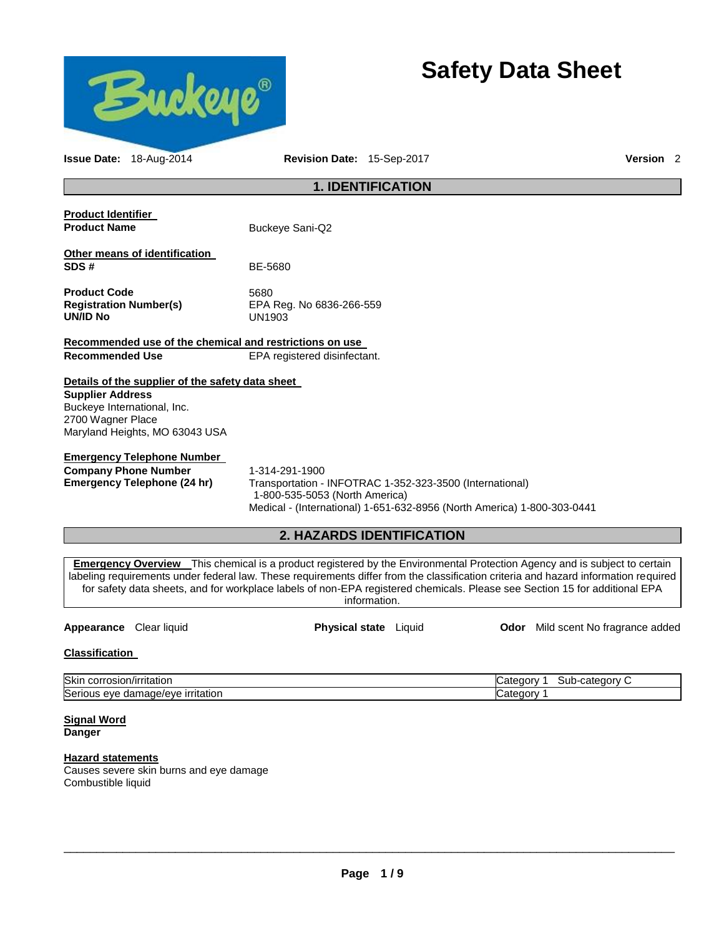

# **Safety Data Sheet**

| Issue Date: 18-Aug-2014                                                                                                                                           | Revision Date: 15-Sep-2017                                                                                                                                                                                                                                                                                                                                                                                            | Version <sub>2</sub>                      |
|-------------------------------------------------------------------------------------------------------------------------------------------------------------------|-----------------------------------------------------------------------------------------------------------------------------------------------------------------------------------------------------------------------------------------------------------------------------------------------------------------------------------------------------------------------------------------------------------------------|-------------------------------------------|
|                                                                                                                                                                   | <b>1. IDENTIFICATION</b>                                                                                                                                                                                                                                                                                                                                                                                              |                                           |
| <b>Product Identifier</b><br><b>Product Name</b>                                                                                                                  | Buckeye Sani-Q2                                                                                                                                                                                                                                                                                                                                                                                                       |                                           |
| Other means of identification<br>SDS#                                                                                                                             | BE-5680                                                                                                                                                                                                                                                                                                                                                                                                               |                                           |
| <b>Product Code</b><br><b>Registration Number(s)</b><br><b>UN/ID No</b>                                                                                           | 5680<br>EPA Reg. No 6836-266-559<br><b>UN1903</b>                                                                                                                                                                                                                                                                                                                                                                     |                                           |
| Recommended use of the chemical and restrictions on use                                                                                                           |                                                                                                                                                                                                                                                                                                                                                                                                                       |                                           |
| <b>Recommended Use</b>                                                                                                                                            | EPA registered disinfectant.                                                                                                                                                                                                                                                                                                                                                                                          |                                           |
| Details of the supplier of the safety data sheet<br><b>Supplier Address</b><br>Buckeye International, Inc.<br>2700 Wagner Place<br>Maryland Heights, MO 63043 USA |                                                                                                                                                                                                                                                                                                                                                                                                                       |                                           |
| <b>Emergency Telephone Number</b><br><b>Company Phone Number</b><br><b>Emergency Telephone (24 hr)</b>                                                            | 1-314-291-1900<br>Transportation - INFOTRAC 1-352-323-3500 (International)<br>1-800-535-5053 (North America)<br>Medical - (International) 1-651-632-8956 (North America) 1-800-303-0441                                                                                                                                                                                                                               |                                           |
|                                                                                                                                                                   | 2. HAZARDS IDENTIFICATION                                                                                                                                                                                                                                                                                                                                                                                             |                                           |
|                                                                                                                                                                   | <b>Emergency Overview</b> This chemical is a product registered by the Environmental Protection Agency and is subject to certain<br>labeling requirements under federal law. These requirements differ from the classification criteria and hazard information required<br>for safety data sheets, and for workplace labels of non-EPA registered chemicals. Please see Section 15 for additional EPA<br>information. |                                           |
| Appearance Clear liquid                                                                                                                                           | Physical state Liquid                                                                                                                                                                                                                                                                                                                                                                                                 | <b>Odor</b> Mild scent No fragrance added |

### **Classification**

| Skir<br>ritation<br>corrosion<br>ا ۱۲۱/<br>USIULI/<br> | r<br>⊸category<br>----<br>Catego<br>Jater<br>1 M<br>∵יוµت |
|--------------------------------------------------------|-----------------------------------------------------------|
| Seri<br>irritation<br>eve<br>damade/ev-<br>,,,,,       | r                                                         |

#### **Signal Word Danger**

# **Hazard statements**

Causes severe skin burns and eye damage Combustible liquid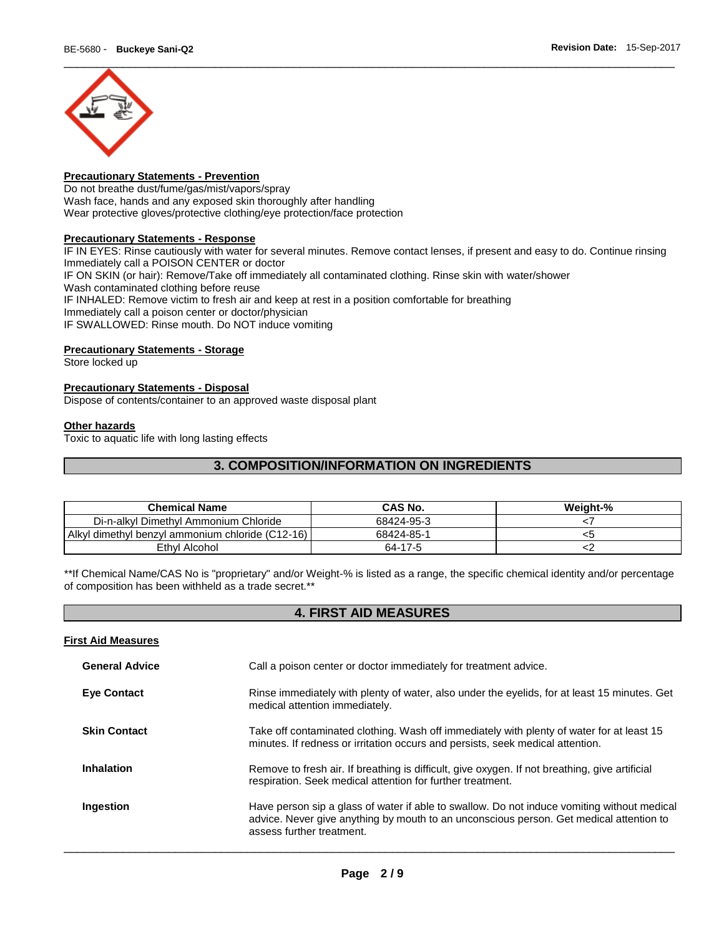

# **Precautionary Statements - Prevention**

Do not breathe dust/fume/gas/mist/vapors/spray Wash face, hands and any exposed skin thoroughly after handling Wear protective gloves/protective clothing/eye protection/face protection

#### **Precautionary Statements - Response**

IF IN EYES: Rinse cautiously with water for several minutes. Remove contact lenses, if present and easy to do. Continue rinsing Immediately call a POISON CENTER or doctor IF ON SKIN (or hair): Remove/Take off immediately all contaminated clothing. Rinse skin with water/shower Wash contaminated clothing before reuse IF INHALED: Remove victim to fresh air and keep at rest in a position comfortable for breathing Immediately call a poison center or doctor/physician IF SWALLOWED: Rinse mouth. Do NOT induce vomiting

#### **Precautionary Statements - Storage**

Store locked up

# **Precautionary Statements - Disposal**

Dispose of contents/container to an approved waste disposal plant

#### **Other hazards**

Toxic to aquatic life with long lasting effects

# **3. COMPOSITION/INFORMATION ON INGREDIENTS**

| <b>Chemical Name</b>                             | <b>CAS No.</b> | Weight-% |
|--------------------------------------------------|----------------|----------|
| Di-n-alkyl Dimethyl Ammonium Chloride            | 68424-95-3     |          |
| Alkyl dimethyl benzyl ammonium chloride (C12-16) | 68424-85-1     |          |
| Ethyl Alcohol                                    | 64-17-5        |          |

\*\*If Chemical Name/CAS No is "proprietary" and/or Weight-% is listed as a range, the specific chemical identity and/or percentage of composition has been withheld as a trade secret.\*\*

# **4. FIRST AID MEASURES**

#### **First Aid Measures**

| <b>General Advice</b> | Call a poison center or doctor immediately for treatment advice.                                                                                                                                                    |
|-----------------------|---------------------------------------------------------------------------------------------------------------------------------------------------------------------------------------------------------------------|
| <b>Eye Contact</b>    | Rinse immediately with plenty of water, also under the eyelids, for at least 15 minutes. Get<br>medical attention immediately.                                                                                      |
| <b>Skin Contact</b>   | Take off contaminated clothing. Wash off immediately with plenty of water for at least 15<br>minutes. If redness or irritation occurs and persists, seek medical attention.                                         |
| Inhalation            | Remove to fresh air. If breathing is difficult, give oxygen. If not breathing, give artificial<br>respiration. Seek medical attention for further treatment.                                                        |
| Ingestion             | Have person sip a glass of water if able to swallow. Do not induce vomiting without medical<br>advice. Never give anything by mouth to an unconscious person. Get medical attention to<br>assess further treatment. |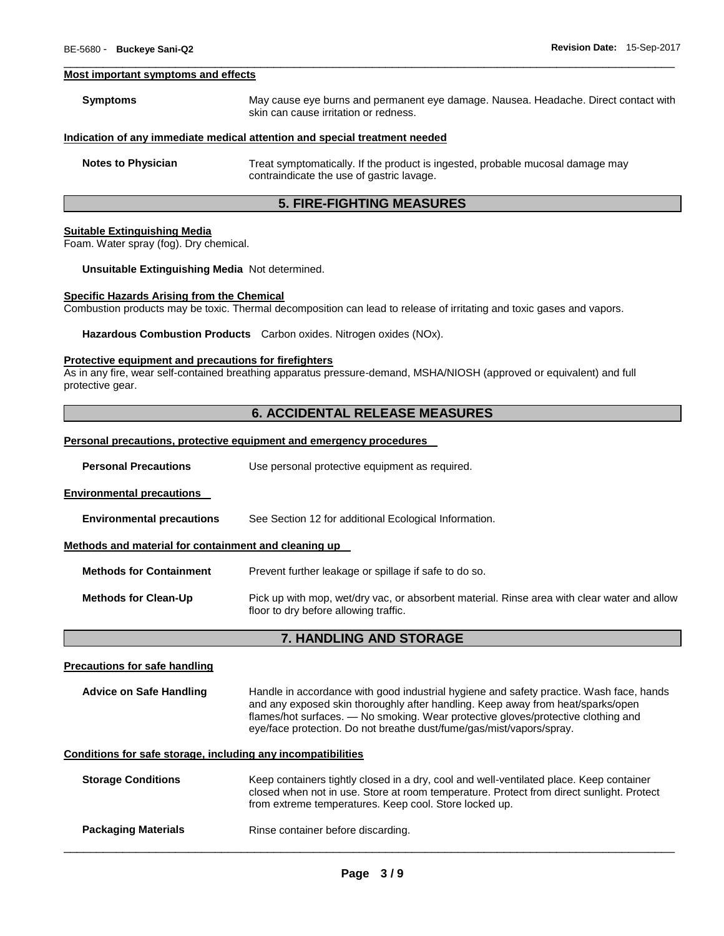#### **Most important symptoms and effects**

| <b>Symptoms</b>           | May cause eye burns and permanent eye damage. Nausea. Headache. Direct contact with<br>skin can cause irritation or redness. |
|---------------------------|------------------------------------------------------------------------------------------------------------------------------|
|                           | Indication of any immediate medical attention and special treatment needed                                                   |
| <b>Notes to Physician</b> | Treat symptomatically. If the product is ingested, probable mucosal damage may<br>contraindicate the use of gastric lavage.  |

\_\_\_\_\_\_\_\_\_\_\_\_\_\_\_\_\_\_\_\_\_\_\_\_\_\_\_\_\_\_\_\_\_\_\_\_\_\_\_\_\_\_\_\_\_\_\_\_\_\_\_\_\_\_\_\_\_\_\_\_\_\_\_\_\_\_\_\_\_\_\_\_\_\_\_\_\_\_\_\_\_\_\_\_\_\_\_\_\_\_\_\_\_

# **5. FIRE-FIGHTING MEASURES**

#### **Suitable Extinguishing Media**

Foam. Water spray (fog). Dry chemical.

#### **Unsuitable Extinguishing Media** Not determined.

#### **Specific Hazards Arising from the Chemical**

Combustion products may be toxic. Thermal decomposition can lead to release of irritating and toxic gases and vapors.

**Hazardous Combustion Products** Carbon oxides. Nitrogen oxides (NOx).

#### **Protective equipment and precautions for firefighters**

As in any fire, wear self-contained breathing apparatus pressure-demand, MSHA/NIOSH (approved or equivalent) and full protective gear.

# **6. ACCIDENTAL RELEASE MEASURES**

#### **Personal precautions, protective equipment and emergency procedures**

| <b>Personal Precautions</b> | Use personal protective equipment as required. |  |
|-----------------------------|------------------------------------------------|--|
|-----------------------------|------------------------------------------------|--|

#### **Environmental precautions**

| <b>Environmental precautions</b> | See Section 12 for additional Ecological Information. |
|----------------------------------|-------------------------------------------------------|
|----------------------------------|-------------------------------------------------------|

#### **Methods and material for containment and cleaning up**

**Methods for Containment** Prevent further leakage or spillage if safe to do so.

**Methods for Clean-Up** Pick up with mop, wet/dry vac, or absorbent material. Rinse area with clear water and allow floor to dry before allowing traffic.

# **7. HANDLING AND STORAGE**

#### **Precautions for safe handling**

| <b>Advice on Safe Handling</b> | Handle in accordance with good industrial hygiene and safety practice. Wash face, hands |
|--------------------------------|-----------------------------------------------------------------------------------------|
|                                | and any exposed skin thoroughly after handling. Keep away from heat/sparks/open         |
|                                | flames/hot surfaces. — No smoking. Wear protective gloves/protective clothing and       |
|                                | eye/face protection. Do not breathe dust/fume/gas/mist/vapors/spray.                    |

#### **Conditions for safe storage, including any incompatibilities**

| <b>Storage Conditions</b>  | Keep containers tightly closed in a dry, cool and well-ventilated place. Keep container<br>closed when not in use. Store at room temperature. Protect from direct sunlight. Protect<br>from extreme temperatures. Keep cool. Store locked up. |
|----------------------------|-----------------------------------------------------------------------------------------------------------------------------------------------------------------------------------------------------------------------------------------------|
| <b>Packaging Materials</b> | Rinse container before discarding.                                                                                                                                                                                                            |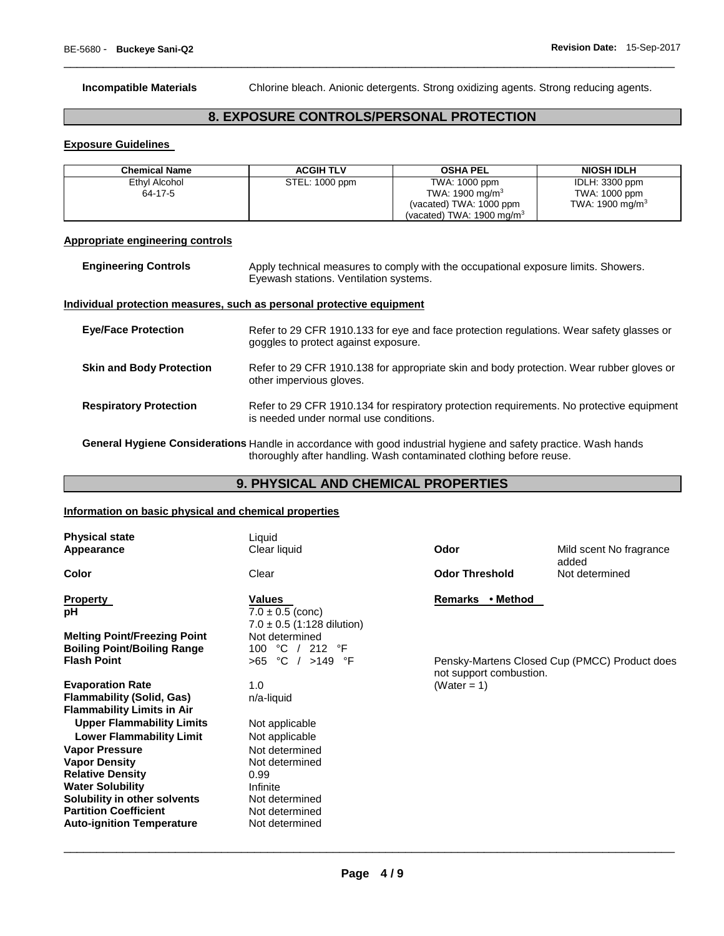**Incompatible Materials** Chlorine bleach. Anionic detergents. Strong oxidizing agents. Strong reducing agents.

# **8. EXPOSURE CONTROLS/PERSONAL PROTECTION**

\_\_\_\_\_\_\_\_\_\_\_\_\_\_\_\_\_\_\_\_\_\_\_\_\_\_\_\_\_\_\_\_\_\_\_\_\_\_\_\_\_\_\_\_\_\_\_\_\_\_\_\_\_\_\_\_\_\_\_\_\_\_\_\_\_\_\_\_\_\_\_\_\_\_\_\_\_\_\_\_\_\_\_\_\_\_\_\_\_\_\_\_\_

#### **Exposure Guidelines**

| Chemical Name | <b>ACGIH TLV</b> | <b>OSHA PEL</b>                      | <b>NIOSH IDLH</b>  |
|---------------|------------------|--------------------------------------|--------------------|
| Ethyl Alcohol | STEL: 1000 ppm   | TWA: 1000 ppm                        | IDLH: 3300 ppm     |
| 64-17-5       |                  | TWA: $1900 \text{ mg/m}^3$           | TWA: 1000 ppm      |
|               |                  | (vacated) TWA: 1000 ppm              | TWA: 1900 mg/m $3$ |
|               |                  | (vacated) TWA: $1900 \text{ mg/m}^3$ |                    |

#### **Appropriate engineering controls**

| <b>Engineering Controls</b> | Apply technical measures to comply with the occupational exposure limits. Showers. |
|-----------------------------|------------------------------------------------------------------------------------|
|                             | Eyewash stations. Ventilation systems.                                             |

#### **Individual protection measures, such as personal protective equipment**

| <b>Eye/Face Protection</b>      | Refer to 29 CFR 1910.133 for eye and face protection regulations. Wear safety glasses or<br>goggles to protect against exposure.    |
|---------------------------------|-------------------------------------------------------------------------------------------------------------------------------------|
| <b>Skin and Body Protection</b> | Refer to 29 CFR 1910.138 for appropriate skin and body protection. Wear rubber gloves or<br>other impervious gloves.                |
| <b>Respiratory Protection</b>   | Refer to 29 CFR 1910.134 for respiratory protection requirements. No protective equipment<br>is needed under normal use conditions. |

**General Hygiene Considerations** Handle in accordance with good industrial hygiene and safety practice. Wash hands thoroughly after handling. Wash contaminated clothing before reuse.

# **9. PHYSICAL AND CHEMICAL PROPERTIES**

#### **Information on basic physical and chemical properties**

| <b>Physical state</b><br>Appearance                          | Liquid<br>Clear liquid                            | Odor                                    | Mild scent No fragrance<br>added              |
|--------------------------------------------------------------|---------------------------------------------------|-----------------------------------------|-----------------------------------------------|
| <b>Color</b>                                                 | Clear                                             | <b>Odor Threshold</b><br>Not determined |                                               |
| <b>Property</b><br>рH                                        | Values<br>$7.0 \pm 0.5$ (conc)                    | Remarks • Method                        |                                               |
|                                                              | $7.0 \pm 0.5$ (1:128 dilution)                    |                                         |                                               |
| <b>Melting Point/Freezing Point</b>                          | Not determined                                    |                                         |                                               |
| <b>Boiling Point/Boiling Range</b><br><b>Flash Point</b>     | °C<br>°F<br>100<br>212<br>$>65$ °C / $>149$<br>°F |                                         | Pensky-Martens Closed Cup (PMCC) Product does |
|                                                              |                                                   | not support combustion.                 |                                               |
| <b>Evaporation Rate</b>                                      | 1.0                                               | (Water = $1$ )                          |                                               |
| <b>Flammability (Solid, Gas)</b>                             | n/a-liquid                                        |                                         |                                               |
| <b>Flammability Limits in Air</b>                            |                                                   |                                         |                                               |
| <b>Upper Flammability Limits</b>                             | Not applicable                                    |                                         |                                               |
| <b>Lower Flammability Limit</b>                              | Not applicable                                    |                                         |                                               |
| <b>Vapor Pressure</b>                                        | Not determined                                    |                                         |                                               |
| <b>Vapor Density</b>                                         | Not determined                                    |                                         |                                               |
| <b>Relative Density</b>                                      | 0.99                                              |                                         |                                               |
| <b>Water Solubility</b>                                      | Infinite                                          |                                         |                                               |
| Solubility in other solvents<br><b>Partition Coefficient</b> | Not determined<br>Not determined                  |                                         |                                               |
| <b>Auto-ignition Temperature</b>                             | Not determined                                    |                                         |                                               |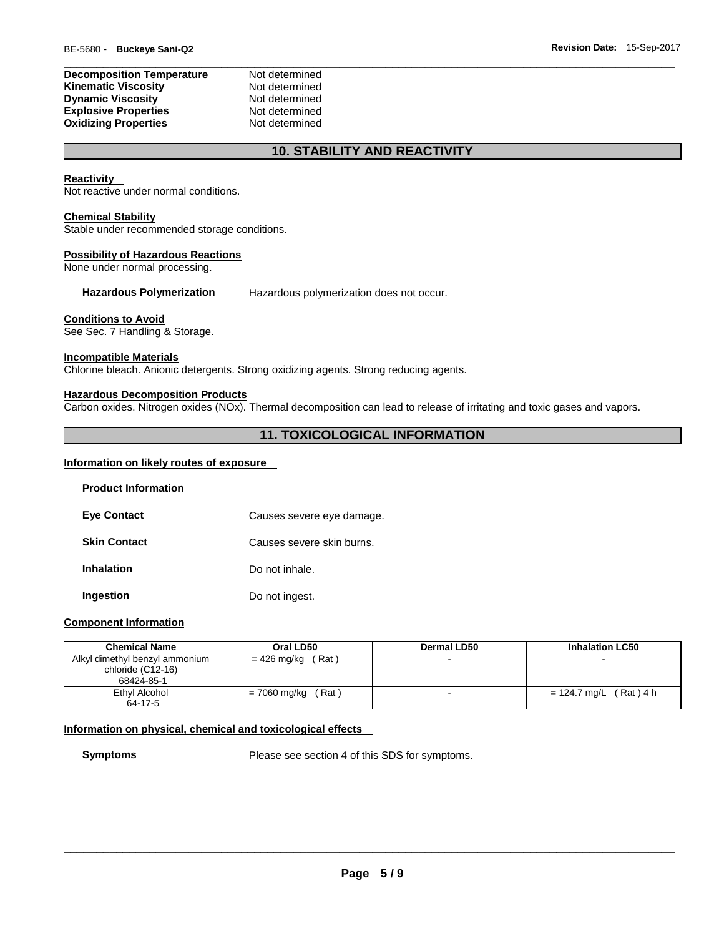| <b>Decomposition Temperature</b> | Not determined |
|----------------------------------|----------------|
| Kinematic Viscosity              | Not determined |
| <b>Dynamic Viscosity</b>         | Not determined |
| <b>Explosive Properties</b>      | Not determined |
| <b>Oxidizing Properties</b>      | Not determined |

# **10. STABILITY AND REACTIVITY**

#### **Reactivity**

Not reactive under normal conditions.

#### **Chemical Stability**

Stable under recommended storage conditions.

#### **Possibility of Hazardous Reactions**

None under normal processing.

**Hazardous Polymerization** Hazardous polymerization does not occur.

#### **Conditions to Avoid**

See Sec. 7 Handling & Storage.

#### **Incompatible Materials**

Chlorine bleach. Anionic detergents. Strong oxidizing agents. Strong reducing agents.

#### **Hazardous Decomposition Products**

Carbon oxides. Nitrogen oxides (NOx). Thermal decomposition can lead to release of irritating and toxic gases and vapors.

# **11. TOXICOLOGICAL INFORMATION**

### **Information on likely routes of exposure**

| <b>Product Information</b> |                           |
|----------------------------|---------------------------|
| <b>Eve Contact</b>         | Causes severe eye damage. |
| <b>Skin Contact</b>        | Causes severe skin burns. |
| <b>Inhalation</b>          | Do not inhale.            |
| Ingestion                  | Do not ingest.            |

#### **Component Information**

| <b>Chemical Name</b>                                              | Oral LD50             | <b>Dermal LD50</b> | <b>Inhalation LC50</b>    |
|-------------------------------------------------------------------|-----------------------|--------------------|---------------------------|
| Alkyl dimethyl benzyl ammonium<br>chloride (C12-16)<br>68424-85-1 | (Rat)<br>= 426 mg/kg  |                    |                           |
| Ethyl Alcohol                                                     | (Rat)<br>= 7060 mg/kg |                    | (Rat) 4 h<br>= 124.7 mg/L |
| 64-17-5                                                           |                       |                    |                           |

#### **Information on physical, chemical and toxicological effects**

**Symptoms** Please see section 4 of this SDS for symptoms.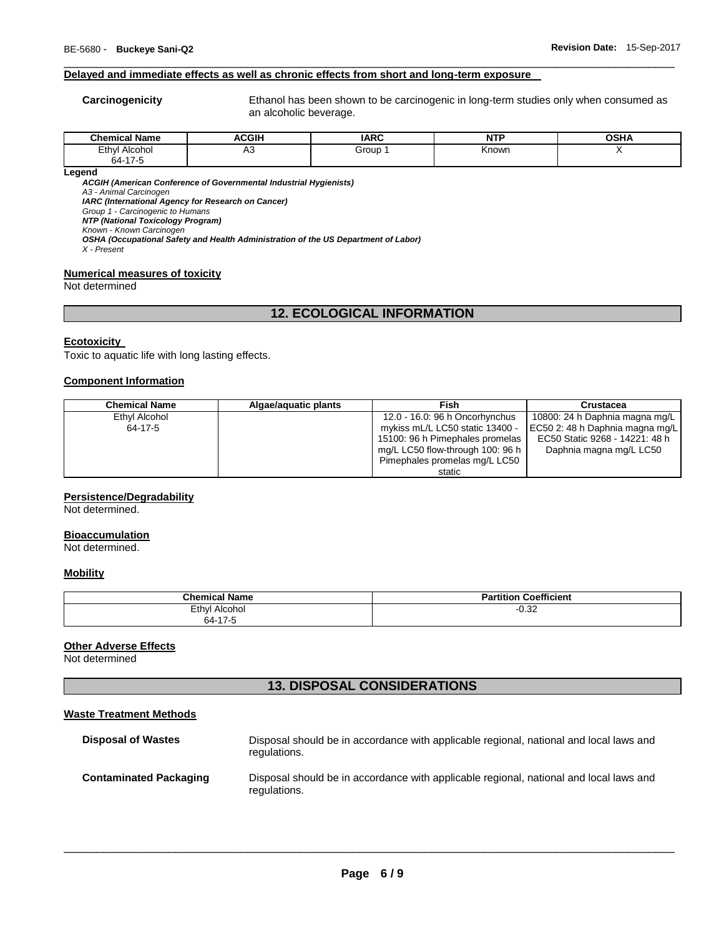#### **Delayed and immediate effects as well as chronic effects from short and long-term exposure**

**Carcinogenicity** Ethanol has been shown to be carcinogenic in long-term studies only when consumed as an alcoholic beverage.

| - - -<br>ີhom.<br>Name<br>mıcal | <b>ACGIH</b> | <b>IARC</b> | $\sim$<br>M. | <b>OSHA</b> |
|---------------------------------|--------------|-------------|--------------|-------------|
| Ethyl<br>Alcohol<br>.           | יר           | Group       | Known        |             |
| 64.17<br>$\ddot{\phantom{a}}$   |              |             |              |             |

\_\_\_\_\_\_\_\_\_\_\_\_\_\_\_\_\_\_\_\_\_\_\_\_\_\_\_\_\_\_\_\_\_\_\_\_\_\_\_\_\_\_\_\_\_\_\_\_\_\_\_\_\_\_\_\_\_\_\_\_\_\_\_\_\_\_\_\_\_\_\_\_\_\_\_\_\_\_\_\_\_\_\_\_\_\_\_\_\_\_\_\_\_

**Legend** 

*ACGIH (American Conference of Governmental Industrial Hygienists)*

*A3 - Animal Carcinogen* 

*IARC (International Agency for Research on Cancer)*

*Group 1 - Carcinogenic to Humans NTP (National Toxicology Program)*

*Known - Known Carcinogen* 

*OSHA (Occupational Safety and Health Administration of the US Department of Labor)*

*X - Present* 

#### **Numerical measures of toxicity**

Not determined

# **12. ECOLOGICAL INFORMATION**

#### **Ecotoxicity**

Toxic to aquatic life with long lasting effects.

#### **Component Information**

| <b>Chemical Name</b> | Algae/aquatic plants | Fish                             | Crustacea                       |
|----------------------|----------------------|----------------------------------|---------------------------------|
| Ethyl Alcohol        |                      | 12.0 - 16.0: 96 h Oncorhynchus   | 10800: 24 h Daphnia magna mg/L  |
| 64-17-5              |                      | mykiss mL/L LC50 static 13400 -  | EC50 2: 48 h Daphnia magna mg/L |
|                      |                      | 15100: 96 h Pimephales promelas  | EC50 Static 9268 - 14221: 48 h  |
|                      |                      | mg/L LC50 flow-through 100: 96 h | Daphnia magna mg/L LC50         |
|                      |                      | Pimephales promelas mg/L LC50    |                                 |
|                      |                      | static                           |                                 |

#### **Persistence/Degradability**

Not determined.

#### **Bioaccumulation**

Not determined.

#### **Mobility**

| <b>Chemical Name</b> | <b>Coefficient</b><br>Partition |
|----------------------|---------------------------------|
| Ethyl<br>Alcohol     | $-0.32$                         |
| 64-17-5              |                                 |

#### **Other Adverse Effects**

Not determined

# **13. DISPOSAL CONSIDERATIONS**

#### **Waste Treatment Methods**

| <b>Disposal of Wastes</b>     | Disposal should be in accordance with applicable regional, national and local laws and<br>regulations. |
|-------------------------------|--------------------------------------------------------------------------------------------------------|
| <b>Contaminated Packaging</b> | Disposal should be in accordance with applicable regional, national and local laws and<br>regulations. |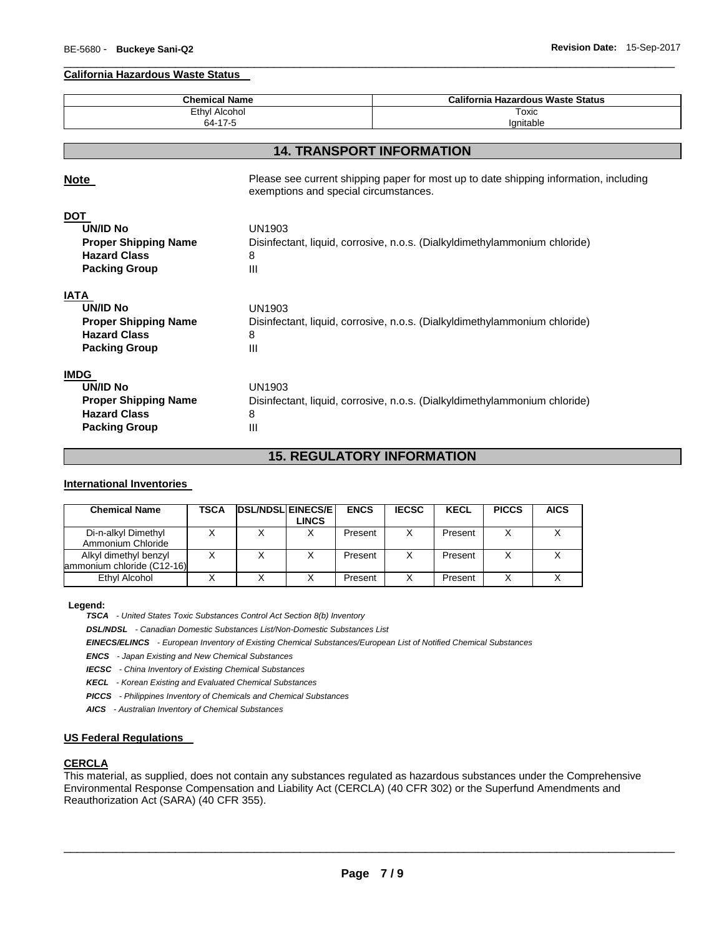#### **California Hazardous Waste Status**

| <b>Chemical Name</b>                                                                                         |                                       | <b>California Hazardous Waste Status</b>                                              |
|--------------------------------------------------------------------------------------------------------------|---------------------------------------|---------------------------------------------------------------------------------------|
| <b>Ethyl Alcohol</b>                                                                                         |                                       | Toxic                                                                                 |
| 64-17-5                                                                                                      |                                       | lgnitable                                                                             |
|                                                                                                              |                                       |                                                                                       |
|                                                                                                              |                                       | <b>14. TRANSPORT INFORMATION</b>                                                      |
| <b>Note</b>                                                                                                  | exemptions and special circumstances. | Please see current shipping paper for most up to date shipping information, including |
| <b>DOT</b><br><b>UN/ID No</b><br><b>Proper Shipping Name</b><br><b>Hazard Class</b><br><b>Packing Group</b>  | UN1903<br>8<br>III                    | Disinfectant, liquid, corrosive, n.o.s. (Dialkyldimethylammonium chloride)            |
| <b>IATA</b><br><b>UN/ID No</b><br><b>Proper Shipping Name</b><br><b>Hazard Class</b><br><b>Packing Group</b> | UN1903<br>8<br>Ш                      | Disinfectant, liquid, corrosive, n.o.s. (Dialkyldimethylammonium chloride)            |
| <b>IMDG</b><br><b>UN/ID No</b><br><b>Proper Shipping Name</b><br><b>Hazard Class</b><br><b>Packing Group</b> | UN1903<br>8<br>Ш                      | Disinfectant, liquid, corrosive, n.o.s. (Dialkyldimethylammonium chloride)            |

\_\_\_\_\_\_\_\_\_\_\_\_\_\_\_\_\_\_\_\_\_\_\_\_\_\_\_\_\_\_\_\_\_\_\_\_\_\_\_\_\_\_\_\_\_\_\_\_\_\_\_\_\_\_\_\_\_\_\_\_\_\_\_\_\_\_\_\_\_\_\_\_\_\_\_\_\_\_\_\_\_\_\_\_\_\_\_\_\_\_\_\_\_

# **15. REGULATORY INFORMATION**

#### **International Inventories**

| <b>Chemical Name</b>                                | TSCA | <b>DSL/NDSLIEINECS/EI</b> | <b>LINCS</b> | <b>ENCS</b> | <b>IECSC</b> | <b>KECL</b> | <b>PICCS</b> | <b>AICS</b> |
|-----------------------------------------------------|------|---------------------------|--------------|-------------|--------------|-------------|--------------|-------------|
| Di-n-alkyl Dimethyl<br>Ammonium Chloride            |      |                           | x            | Present     | x            | Present     | X            |             |
| Alkyl dimethyl benzyl<br>ammonium chloride (C12-16) |      |                           |              | Present     | X            | Present     |              |             |
| Ethyl Alcohol                                       |      |                           |              | Present     | X            | Present     |              |             |

#### **Legend:**

*TSCA - United States Toxic Substances Control Act Section 8(b) Inventory* 

*DSL/NDSL - Canadian Domestic Substances List/Non-Domestic Substances List* 

*EINECS/ELINCS - European Inventory of Existing Chemical Substances/European List of Notified Chemical Substances* 

*ENCS - Japan Existing and New Chemical Substances* 

*IECSC - China Inventory of Existing Chemical Substances* 

*KECL - Korean Existing and Evaluated Chemical Substances* 

*PICCS - Philippines Inventory of Chemicals and Chemical Substances* 

*AICS - Australian Inventory of Chemical Substances* 

#### **US Federal Regulations**

#### **CERCLA**

This material, as supplied, does not contain any substances regulated as hazardous substances under the Comprehensive Environmental Response Compensation and Liability Act (CERCLA) (40 CFR 302) or the Superfund Amendments and Reauthorization Act (SARA) (40 CFR 355).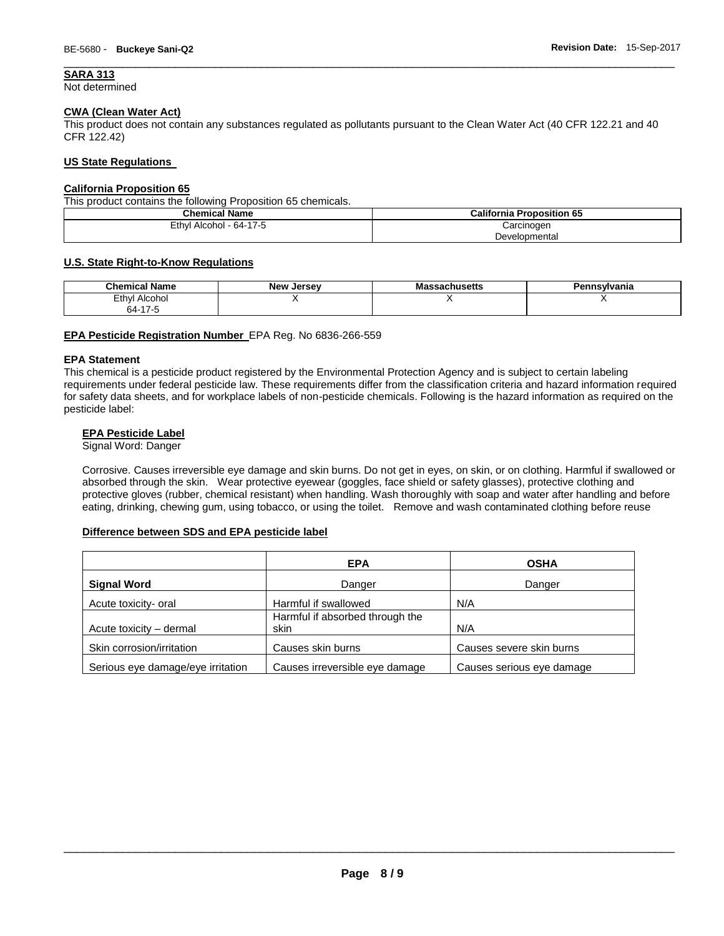# **SARA 313**

Not determined

# **CWA (Clean Water Act)**

This product does not contain any substances regulated as pollutants pursuant to the Clean Water Act (40 CFR 122.21 and 40 CFR 122.42)

\_\_\_\_\_\_\_\_\_\_\_\_\_\_\_\_\_\_\_\_\_\_\_\_\_\_\_\_\_\_\_\_\_\_\_\_\_\_\_\_\_\_\_\_\_\_\_\_\_\_\_\_\_\_\_\_\_\_\_\_\_\_\_\_\_\_\_\_\_\_\_\_\_\_\_\_\_\_\_\_\_\_\_\_\_\_\_\_\_\_\_\_\_

#### **US State Regulations**

#### **California Proposition 65**

This product contains the following Proposition 65 chemicals.

| <b>Chemical Name</b>    | <b>California Proposition 65</b> |
|-------------------------|----------------------------------|
| Ethyl Alcohol - 64-17-5 | Carcinogen                       |
|                         | Developmental                    |

#### **U.S. State Right-to-Know Regulations**

| <b>Chemical Name</b>  | <b>New Jersey</b> | assachusetts<br>Mas | Pennsylvania |
|-----------------------|-------------------|---------------------|--------------|
| Ethyl<br>Alcohol<br>. |                   |                     |              |
| $\rightarrow$<br>64-  |                   |                     |              |

#### **EPA Pesticide Registration Number** EPA Reg. No 6836-266-559

#### **EPA Statement**

This chemical is a pesticide product registered by the Environmental Protection Agency and is subject to certain labeling requirements under federal pesticide law. These requirements differ from the classification criteria and hazard information required for safety data sheets, and for workplace labels of non-pesticide chemicals. Following is the hazard information as required on the pesticide label:

#### **EPA Pesticide Label**

Signal Word: Danger

Corrosive. Causes irreversible eye damage and skin burns. Do not get in eyes, on skin, or on clothing. Harmful if swallowed or absorbed through the skin. Wear protective eyewear (goggles, face shield or safety glasses), protective clothing and protective gloves (rubber, chemical resistant) when handling. Wash thoroughly with soap and water after handling and before eating, drinking, chewing gum, using tobacco, or using the toilet. Remove and wash contaminated clothing before reuse

#### **Difference between SDS and EPA pesticide label**

|                                   | <b>EPA</b>                              | <b>OSHA</b>               |
|-----------------------------------|-----------------------------------------|---------------------------|
| <b>Signal Word</b>                | Danger                                  | Danger                    |
| Acute toxicity- oral              | Harmful if swallowed                    | N/A                       |
| Acute toxicity - dermal           | Harmful if absorbed through the<br>skin | N/A                       |
| Skin corrosion/irritation         | Causes skin burns                       | Causes severe skin burns  |
| Serious eye damage/eye irritation | Causes irreversible eye damage          | Causes serious eye damage |